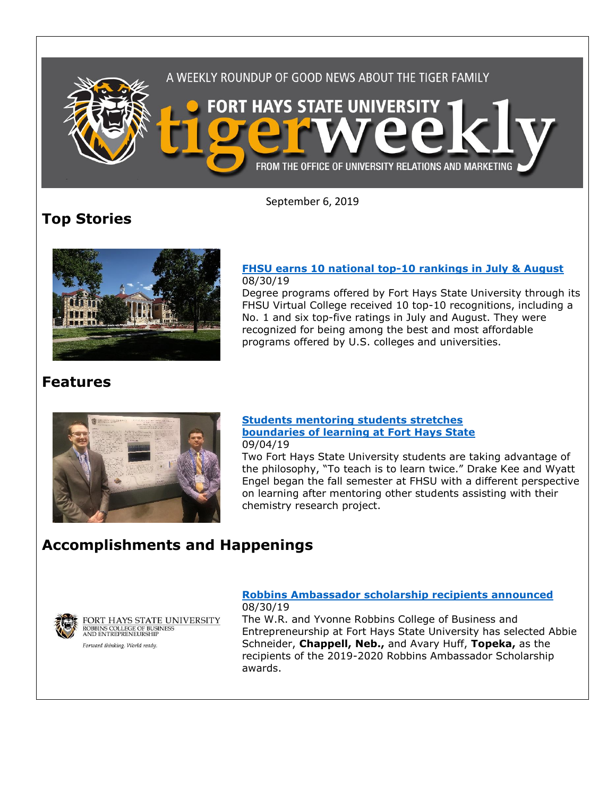

September 6, 2019

# **Top Stories**



### **[FHSU earns 10 national top-10 rankings in July & August](https://www.fhsu.edu/news/2019/08/fhsu-earns-10-national-top-10-rankings-in-july-august)** 08/30/19

Degree programs offered by Fort Hays State University through its FHSU Virtual College received 10 top-10 recognitions, including a No. 1 and six top-five ratings in July and August. They were recognized for being among the best and most affordable programs offered by U.S. colleges and universities.

### **Features**



### **[Students mentoring students stretches](https://www.fhsu.edu/news/2019/09/students-mentoring-students-stretches-boundaries-of-learning-at-fort-hays-state)  [boundaries of learning at Fort Hays State](https://www.fhsu.edu/news/2019/09/students-mentoring-students-stretches-boundaries-of-learning-at-fort-hays-state)** 09/04/19

Two Fort Hays State University students are taking advantage of the philosophy, "To teach is to learn twice." Drake Kee and Wyatt Engel began the fall semester at FHSU with a different perspective on learning after mentoring other students assisting with their chemistry research project.

## **Accomplishments and Happenings**



FORT HAYS STATE UNIVERSITY ROBBINS COLLEGE OF BUSINESS<br>AND ENTREPRENEURSHIP

Forward thinking. World ready.

### **[Robbins Ambassador scholarship recipients announced](https://www.fhsu.edu/news/2019/08/robbins-ambassador-scholarship-recipients-announced)** 08/30/19

The W.R. and Yvonne Robbins College of Business and Entrepreneurship at Fort Hays State University has selected Abbie Schneider, **Chappell, Neb.,** and Avary Huff, **Topeka,** as the recipients of the 2019-2020 Robbins Ambassador Scholarship awards.